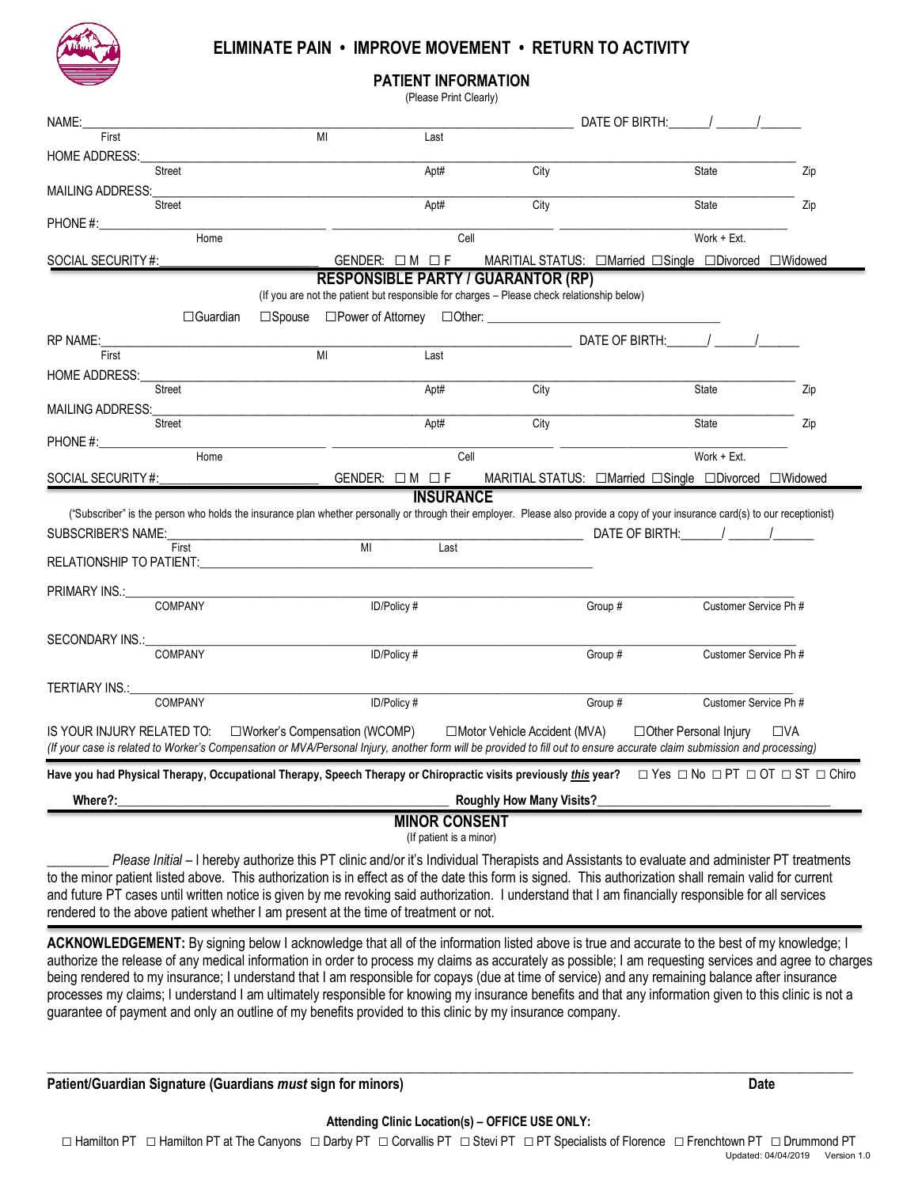

## **ELIMINATE PAIN • IMPROVE MOVEMENT • RETURN TO ACTIVITY**

**PATIENT INFORMATION**

|                                 |                 |                                | (Please Print Clearly)                    |                                                                                            |                                                                                                                                                                                                    |              |
|---------------------------------|-----------------|--------------------------------|-------------------------------------------|--------------------------------------------------------------------------------------------|----------------------------------------------------------------------------------------------------------------------------------------------------------------------------------------------------|--------------|
| Name:                           |                 |                                |                                           |                                                                                            | DATE OF BIRTH: $\frac{1}{\sqrt{2}}$                                                                                                                                                                |              |
| First                           |                 | $\overline{M}$                 | Last                                      |                                                                                            |                                                                                                                                                                                                    |              |
| <b>HOME ADDRESS:</b>            |                 |                                |                                           |                                                                                            |                                                                                                                                                                                                    |              |
|                                 | Street          |                                | Apt#                                      | City                                                                                       | State                                                                                                                                                                                              | Zip          |
| MAILING ADDRESS:                |                 |                                |                                           |                                                                                            |                                                                                                                                                                                                    |              |
|                                 | <b>Street</b>   |                                | Apt#                                      | City                                                                                       | State                                                                                                                                                                                              | Zip          |
| PHONE #:                        | Home            |                                | Cell                                      |                                                                                            | Work + Ext.                                                                                                                                                                                        |              |
|                                 |                 |                                |                                           |                                                                                            |                                                                                                                                                                                                    |              |
| SOCIAL SECURITY#:               |                 |                                | $GENDER: \Box M \Box F$                   |                                                                                            | MARITIAL STATUS: □Married □Single □Divorced □Widowed                                                                                                                                               |              |
|                                 |                 |                                | <b>RESPONSIBLE PARTY / GUARANTOR (RP)</b> | (If you are not the patient but responsible for charges - Please check relationship below) |                                                                                                                                                                                                    |              |
|                                 | $\Box$ Guardian |                                |                                           | □Spouse □Power of Attorney □Other: □                                                       |                                                                                                                                                                                                    |              |
| <b>RP NAME:</b>                 |                 |                                |                                           |                                                                                            | DATE OF BIRTH: / / /                                                                                                                                                                               |              |
| First                           |                 | MI                             | Last                                      |                                                                                            |                                                                                                                                                                                                    |              |
| <b>HOME ADDRESS:</b>            |                 |                                |                                           |                                                                                            |                                                                                                                                                                                                    |              |
|                                 | Street          |                                | Apt#                                      | City                                                                                       | State                                                                                                                                                                                              | Zip          |
| <b>MAILING ADDRESS:</b>         |                 |                                |                                           |                                                                                            |                                                                                                                                                                                                    |              |
|                                 | Street          |                                | Apt#                                      | City                                                                                       | State                                                                                                                                                                                              | Zip          |
| PHONE #:                        | Home            |                                | Cell                                      |                                                                                            | Work + Ext.                                                                                                                                                                                        |              |
|                                 |                 |                                |                                           |                                                                                            |                                                                                                                                                                                                    |              |
| SOCIAL SECURITY #:              |                 |                                | $GENDER: \Box M \Box F$                   |                                                                                            | MARITIAL STATUS: □Married □Single □Divorced □Widowed                                                                                                                                               |              |
|                                 |                 |                                | <b>INSURANCE</b>                          |                                                                                            | ("Subscriber" is the person who holds the insurance plan whether personally or through their employer. Please also provide a copy of your insurance card(s) to our receptionist)                   |              |
| SUBSCRIBER'S NAME:              |                 |                                |                                           |                                                                                            | DATE OF BIRTH: $\frac{1}{\sqrt{2}}$ /                                                                                                                                                              |              |
|                                 | First           | M <sub>l</sub>                 | Last                                      |                                                                                            |                                                                                                                                                                                                    |              |
| <b>RELATIONSHIP TO PATIENT:</b> |                 |                                |                                           |                                                                                            |                                                                                                                                                                                                    |              |
|                                 |                 |                                |                                           |                                                                                            |                                                                                                                                                                                                    |              |
| PRIMARY INS.:                   | COMPANY         |                                | ID/Policy #                               | Group #                                                                                    | Customer Service Ph #                                                                                                                                                                              |              |
|                                 |                 |                                |                                           |                                                                                            |                                                                                                                                                                                                    |              |
| SECONDARY INS.:                 |                 |                                |                                           |                                                                                            |                                                                                                                                                                                                    |              |
|                                 | COMPANY         |                                | ID/Policy #                               | Group #                                                                                    | Customer Service Ph #                                                                                                                                                                              |              |
|                                 |                 |                                |                                           |                                                                                            |                                                                                                                                                                                                    |              |
| TERTIARY INS.:                  | <b>COMPANY</b>  |                                | ID/Policy#                                | Group #                                                                                    | Customer Service Ph #                                                                                                                                                                              |              |
|                                 |                 |                                |                                           |                                                                                            |                                                                                                                                                                                                    |              |
| IS YOUR INJURY RELATED TO:      |                 | □Worker's Compensation (WCOMP) |                                           | □Motor Vehicle Accident (MVA)                                                              | □ Other Personal Injury<br>(If your case is related to Worker's Compensation or MVA/Personal Injury, another form will be provided to fill out to ensure accurate claim submission and processing) | $\square$ va |
|                                 |                 |                                |                                           |                                                                                            | Have you had Physical Therapy, Occupational Therapy, Speech Therapy or Chiropractic visits previously <i>this</i> year?  □ Yes □ No □ PT □ OT □ ST □ Chiro                                         |              |
| Where?:                         |                 |                                |                                           | <b>Roughly How Many Visits?</b>                                                            |                                                                                                                                                                                                    |              |
|                                 |                 |                                |                                           |                                                                                            |                                                                                                                                                                                                    |              |

**MINOR CONSENT**

(If patient is a minor)

\_\_\_\_\_\_\_\_\_ *Please Initial* – I hereby authorize this PT clinic and/or it's Individual Therapists and Assistants to evaluate and administer PT treatments to the minor patient listed above. This authorization is in effect as of the date this form is signed. This authorization shall remain valid for current and future PT cases until written notice is given by me revoking said authorization. I understand that I am financially responsible for all services rendered to the above patient whether I am present at the time of treatment or not.

**ACKNOWLEDGEMENT:** By signing below I acknowledge that all of the information listed above is true and accurate to the best of my knowledge; I authorize the release of any medical information in order to process my claims as accurately as possible; I am requesting services and agree to charges being rendered to my insurance; I understand that I am responsible for copays (due at time of service) and any remaining balance after insurance processes my claims; I understand I am ultimately responsible for knowing my insurance benefits and that any information given to this clinic is not a guarantee of payment and only an outline of my benefits provided to this clinic by my insurance company.

**Patient/Guardian Signature (Guardians** *must* **sign for minors) Date**

 $\_$  , and the set of the set of the set of the set of the set of the set of the set of the set of the set of the set of the set of the set of the set of the set of the set of the set of the set of the set of the set of th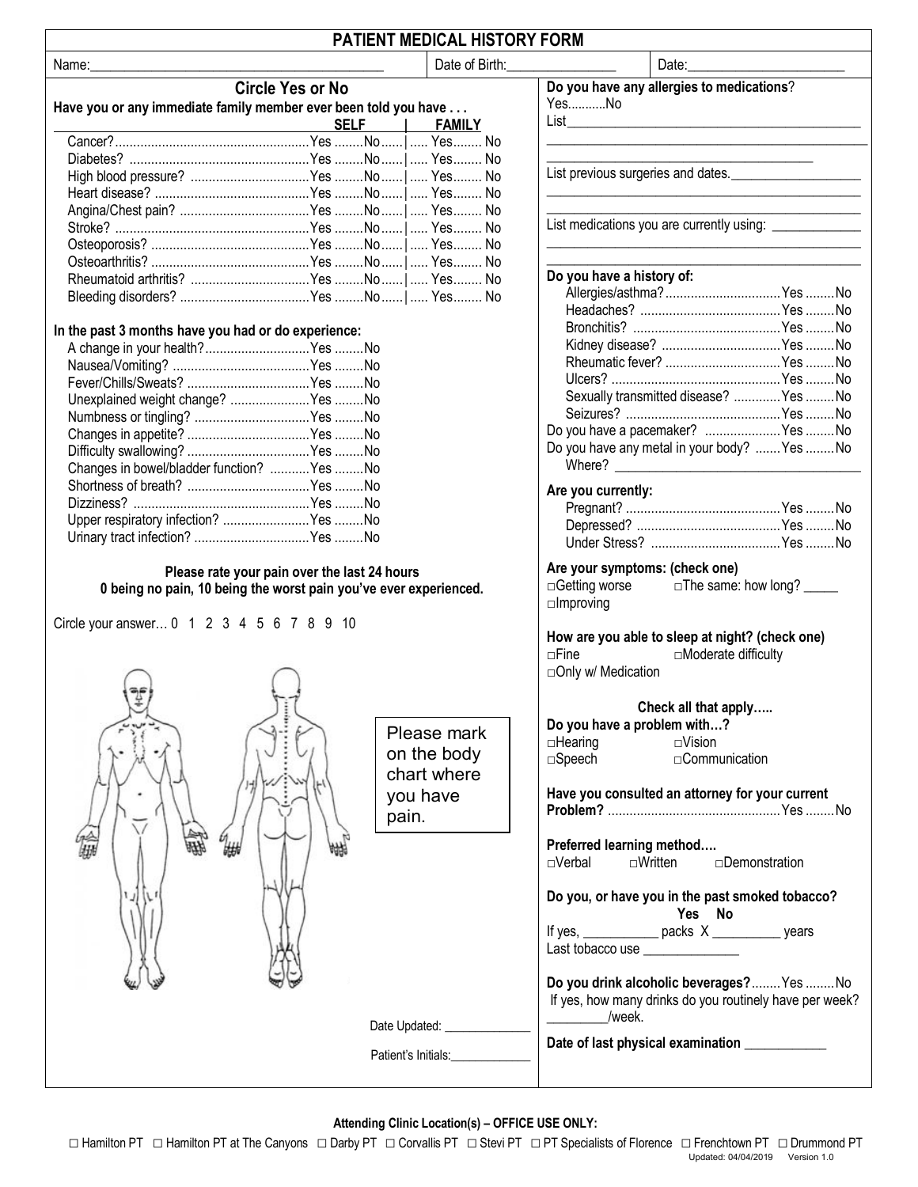|--|

|  |  | <b>Circle Yes or No</b> |
|--|--|-------------------------|
|--|--|-------------------------|

## **Have you or any immediate family member ever been told you have . . .**

| <b>SELF   FAMILY</b> |  |
|----------------------|--|
|                      |  |
|                      |  |
|                      |  |
|                      |  |
|                      |  |
|                      |  |
|                      |  |
|                      |  |
|                      |  |
|                      |  |

## **In the past 3 months have you had or do experience:**

| A change in your health?Yes No              |  |
|---------------------------------------------|--|
|                                             |  |
|                                             |  |
| Unexplained weight change?  Yes  No         |  |
|                                             |  |
|                                             |  |
|                                             |  |
| Changes in bowel/bladder function?  Yes  No |  |
|                                             |  |
|                                             |  |
| Upper respiratory infection?  Yes No        |  |
|                                             |  |
|                                             |  |

### **Please rate your pain over the last 24 hours 0 being no pain, 10 being the worst pain you've ever experienced.**

Circle your answer… 0 1 2 3 4 5 6 7 8 9 10



**Attending Clinic Location(s) – OFFICE USE ONLY:**

Name:\_\_\_\_\_\_\_\_\_\_\_\_\_\_\_\_\_\_\_\_\_\_\_\_\_\_\_\_\_\_\_\_\_\_\_\_\_\_\_\_\_\_\_ Date of Birth:\_\_\_\_\_\_\_\_\_\_\_\_\_\_\_\_ Date:\_\_\_\_\_\_\_\_\_\_\_\_\_\_\_\_\_\_\_\_\_\_\_ **Do you have any allergies to medications**?

Yes...........No

 $List$ 

\_\_\_\_\_\_\_\_\_\_\_\_\_\_\_\_\_\_\_\_\_\_\_\_\_\_\_\_\_\_\_\_\_\_\_\_\_\_\_

List previous surgeries and dates. \_\_\_\_\_\_\_\_\_\_\_\_\_\_\_\_\_\_\_\_\_\_\_\_\_\_\_\_\_\_\_\_\_\_\_\_\_\_\_\_\_\_\_\_\_\_

List medications you are currently using: \_\_\_\_\_\_\_\_\_\_\_\_\_\_\_\_\_\_\_\_\_\_\_\_\_\_\_\_\_\_\_\_\_\_\_\_\_\_\_\_\_\_\_\_\_\_

## **Do you have a history of:**

| Allergies/asthma? Yes  No                                   |  |
|-------------------------------------------------------------|--|
|                                                             |  |
|                                                             |  |
| Kidney disease?  Yes  No                                    |  |
| Rheumatic fever?  Yes  No                                   |  |
|                                                             |  |
| Sexually transmitted disease?  Yes  No                      |  |
|                                                             |  |
| Do you have a pacemaker?  Yes  No                           |  |
| Do you have any metal in your body?  Yes  No<br>Where? ____ |  |

\_\_\_\_\_\_\_\_\_\_\_\_\_\_\_\_\_\_\_\_\_\_\_\_\_\_\_\_\_\_\_\_\_\_\_\_\_\_\_\_\_\_\_\_\_\_\_

\_\_\_\_\_\_\_\_\_\_\_\_\_\_\_\_\_\_\_\_\_\_\_\_\_\_\_\_\_\_\_\_\_\_\_\_\_\_\_\_\_\_\_\_\_\_

\_\_\_\_\_\_\_\_\_\_\_\_\_\_\_\_\_\_\_\_\_\_\_\_\_\_\_\_\_\_\_\_\_\_\_\_\_\_\_\_\_\_\_\_\_\_

### **Are you currently:**

### **Are your symptoms: (check one)**

□Getting worse □The same: how long? □**Improving** 

## **How are you able to sleep at night? (check one)** □Fine □Moderate difficulty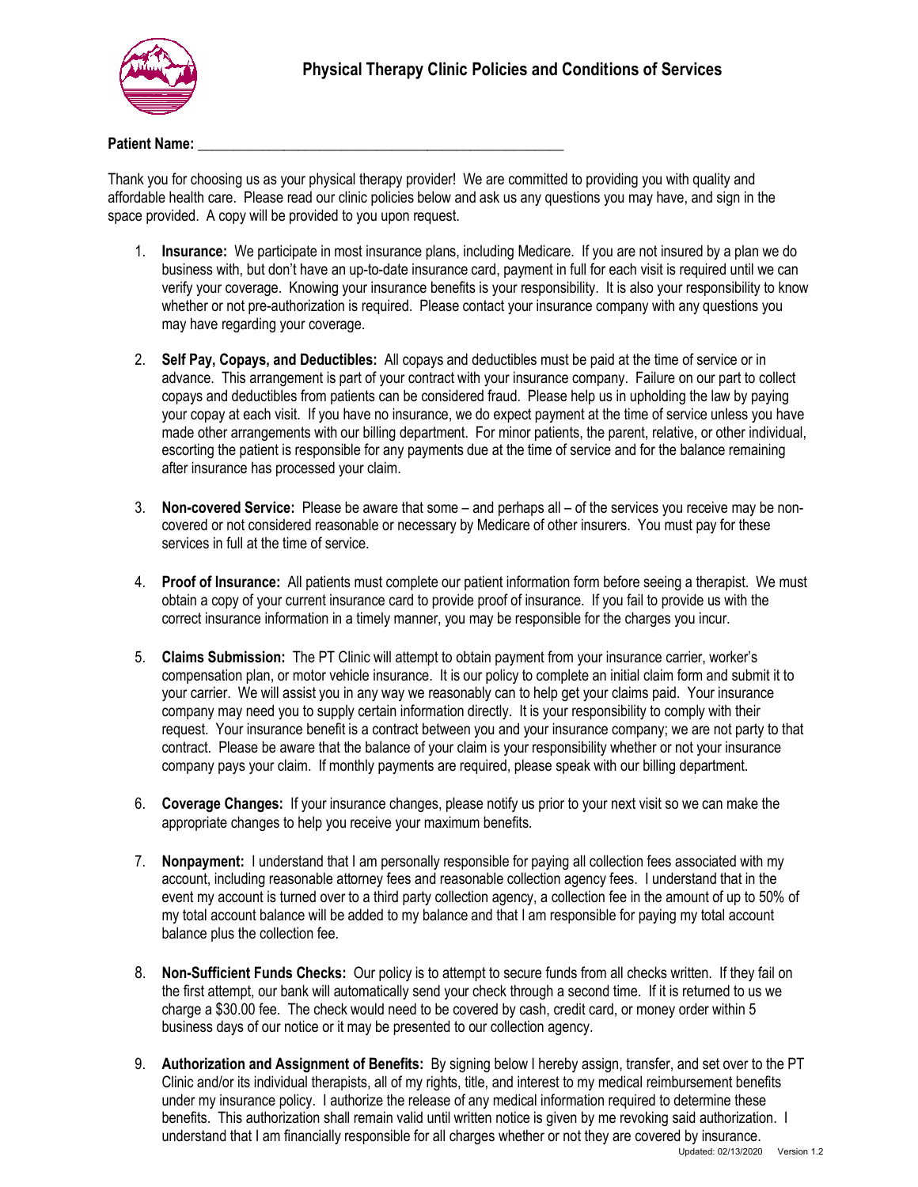

### **Patient Name:**

Thank you for choosing us as your physical therapy provider! We are committed to providing you with quality and affordable health care. Please read our clinic policies below and ask us any questions you may have, and sign in the space provided. A copy will be provided to you upon request.

- 1. **Insurance:** We participate in most insurance plans, including Medicare. If you are not insured by a plan we do business with, but don't have an up-to-date insurance card, payment in full for each visit is required until we can verify your coverage. Knowing your insurance benefits is your responsibility. It is also your responsibility to know whether or not pre-authorization is required. Please contact your insurance company with any questions you may have regarding your coverage.
- 2. **Self Pay, Copays, and Deductibles:** All copays and deductibles must be paid at the time of service or in advance. This arrangement is part of your contract with your insurance company. Failure on our part to collect copays and deductibles from patients can be considered fraud. Please help us in upholding the law by paying your copay at each visit. If you have no insurance, we do expect payment at the time of service unless you have made other arrangements with our billing department. For minor patients, the parent, relative, or other individual, escorting the patient is responsible for any payments due at the time of service and for the balance remaining after insurance has processed your claim.
- 3. **Non-covered Service:** Please be aware that some and perhaps all of the services you receive may be noncovered or not considered reasonable or necessary by Medicare of other insurers. You must pay for these services in full at the time of service.
- 4. **Proof of Insurance:** All patients must complete our patient information form before seeing a therapist. We must obtain a copy of your current insurance card to provide proof of insurance. If you fail to provide us with the correct insurance information in a timely manner, you may be responsible for the charges you incur.
- 5. **Claims Submission:** The PT Clinic will attempt to obtain payment from your insurance carrier, worker's compensation plan, or motor vehicle insurance. It is our policy to complete an initial claim form and submit it to your carrier. We will assist you in any way we reasonably can to help get your claims paid. Your insurance company may need you to supply certain information directly. It is your responsibility to comply with their request. Your insurance benefit is a contract between you and your insurance company; we are not party to that contract. Please be aware that the balance of your claim is your responsibility whether or not your insurance company pays your claim. If monthly payments are required, please speak with our billing department.
- 6. **Coverage Changes:** If your insurance changes, please notify us prior to your next visit so we can make the appropriate changes to help you receive your maximum benefits.
- 7. **Nonpayment:** I understand that I am personally responsible for paying all collection fees associated with my account, including reasonable attorney fees and reasonable collection agency fees. I understand that in the event my account is turned over to a third party collection agency, a collection fee in the amount of up to 50% of my total account balance will be added to my balance and that I am responsible for paying my total account balance plus the collection fee.
- 8. **Non-Sufficient Funds Checks:** Our policy is to attempt to secure funds from all checks written. If they fail on the first attempt, our bank will automatically send your check through a second time. If it is returned to us we charge a \$30.00 fee. The check would need to be covered by cash, credit card, or money order within 5 business days of our notice or it may be presented to our collection agency.
- 9. **Authorization and Assignment of Benefits:** By signing below I hereby assign, transfer, and set over to the PT Clinic and/or its individual therapists, all of my rights, title, and interest to my medical reimbursement benefits under my insurance policy. I authorize the release of any medical information required to determine these benefits. This authorization shall remain valid until written notice is given by me revoking said authorization. I understand that I am financially responsible for all charges whether or not they are covered by insurance.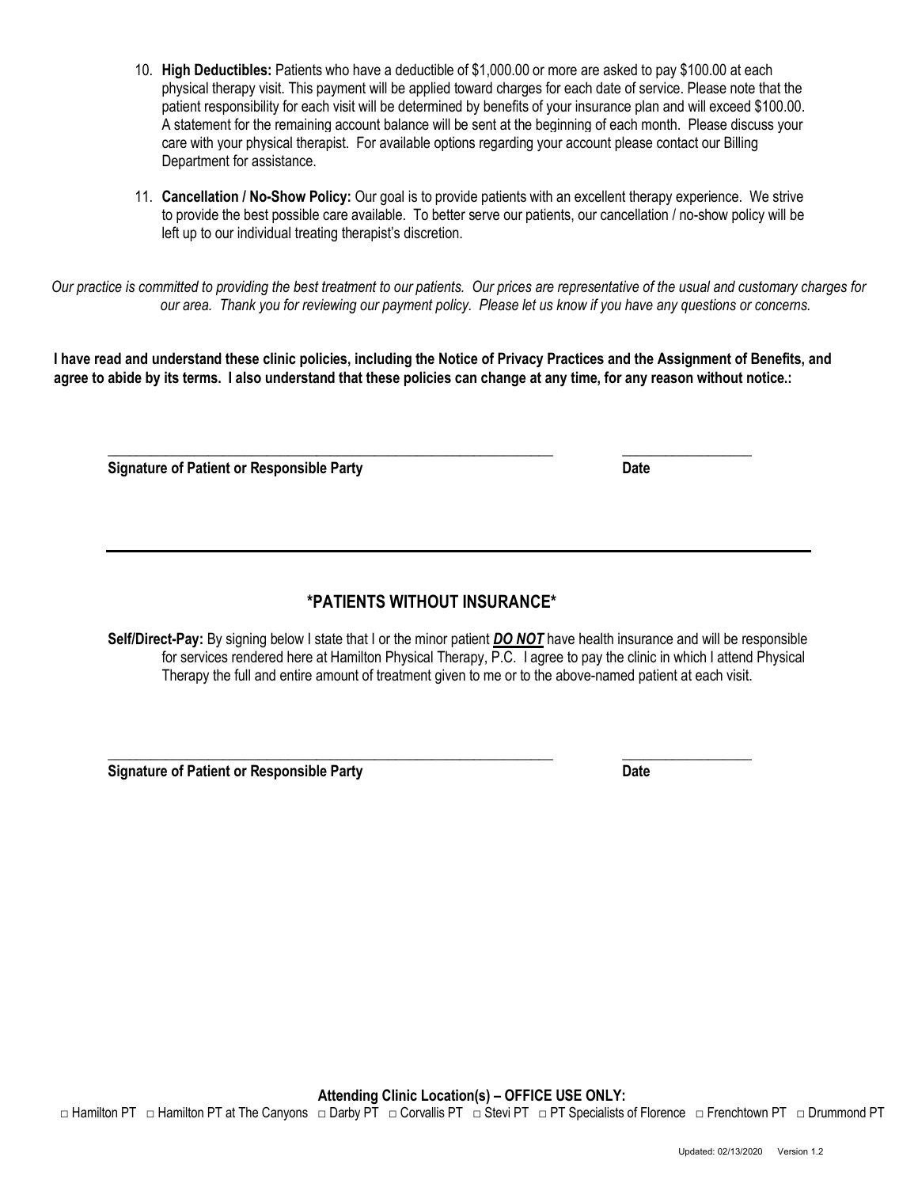**Attending Clinic Location(s) – OFFICE USE ONLY:** □ Hamilton PT □ Hamilton PT at The Canyons □ Darby PT □ Corvallis PT □ Stevi PT □ PT Specialists of Florence □ Frenchtown PT □ Drummond PT

- 10. **High Deductibles:** Patients who have a deductible of \$1,000.00 or more are asked to pay \$100.00 at each physical therapy visit. This payment will be applied toward charges for each date of service. Please note that the patient responsibility for each visit will be determined by benefits of your insurance plan and will exceed \$100.00. A statement for the remaining account balance will be sent at the beginning of each month. Please discuss your care with your physical therapist. For available options regarding your account please contact our Billing Department for assistance.
- 11. **Cancellation / No-Show Policy:** Our goal is to provide patients with an excellent therapy experience. We strive to provide the best possible care available. To better serve our patients, our cancellation / no-show policy will be left up to our individual treating therapist's discretion.

*Our practice is committed to providing the best treatment to our patients. Our prices are representative of the usual and customary charges for our area. Thank you for reviewing our payment policy. Please let us know if you have any questions or concerns.*

**I have read and understand these clinic policies, including the Notice of Privacy Practices and the Assignment of Benefits, and agree to abide by its terms. I also understand that these policies can change at any time, for any reason without notice.:**

**\_\_\_\_\_\_\_\_\_\_\_\_\_\_\_\_\_\_\_\_\_\_\_\_\_\_\_\_\_\_\_\_\_\_\_\_\_\_\_\_\_\_\_\_\_\_\_\_\_\_\_\_\_\_\_\_\_\_\_\_\_\_ \_\_\_\_\_\_\_\_\_\_\_\_\_\_\_\_\_\_ Signature of Patient or Responsible Party Community Community Community Community Community Community Community** 

# **\*PATIENTS WITHOUT INSURANCE\***

**Self/Direct-Pay:** By signing below I state that I or the minor patient *DO NOT* have health insurance and will be responsible for services rendered here at Hamilton Physical Therapy, P.C. I agree to pay the clinic in which I attend Physical Therapy the full and entire amount of treatment given to me or to the above-named patient at each visit.

**\_\_\_\_\_\_\_\_\_\_\_\_\_\_\_\_\_\_\_\_\_\_\_\_\_\_\_\_\_\_\_\_\_\_\_\_\_\_\_\_\_\_\_\_\_\_\_\_\_\_\_\_\_\_\_\_\_\_\_\_\_\_ \_\_\_\_\_\_\_\_\_\_\_\_\_\_\_\_\_\_ Signature of Patient or Responsible Party Community Community Community Community Community Community Community**